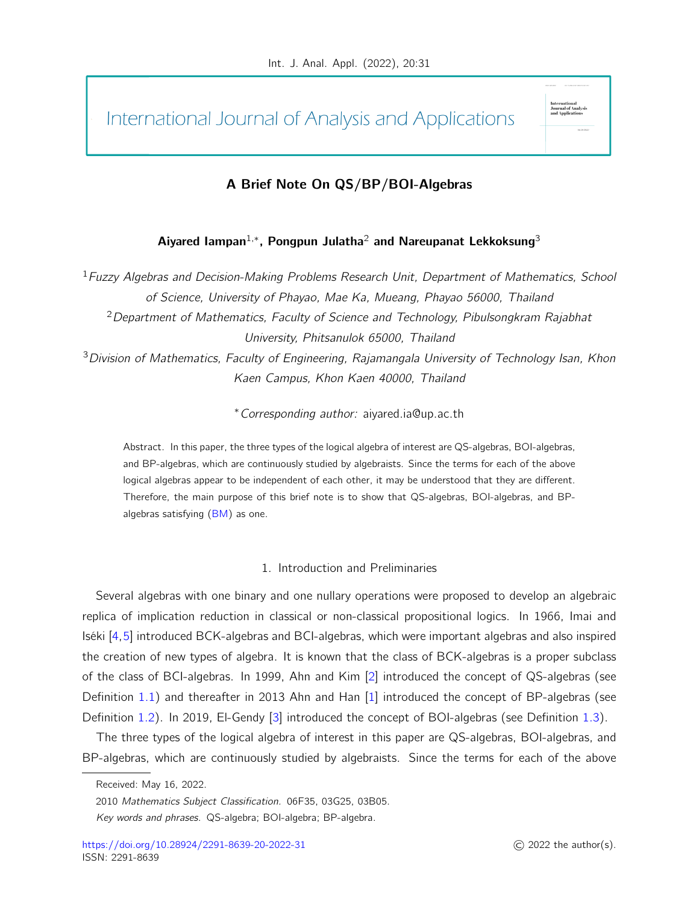International Journal of Analysis and Applications

# A Brief Note On QS/BP/BOI-Algebras

## Aiyared lampan $^{1,*}$ , Pongpun Julatha $^2$  and Nareupanat Lekkoksung $^3$

 $1$ Fuzzy Algebras and Decision-Making Problems Research Unit, Department of Mathematics, School of Science, University of Phayao, Mae Ka, Mueang, Phayao 56000, Thailand <sup>2</sup> Department of Mathematics, Faculty of Science and Technology, Pibulsongkram Rajabhat University, Phitsanulok 65000, Thailand <sup>3</sup> Division of Mathematics, Faculty of Engineering, Rajamangala University of Technology Isan, Khon

Kaen Campus, Khon Kaen 40000, Thailand

<sup>∗</sup>Corresponding author: aiyared.ia@up.ac.th

Abstract. In this paper, the three types of the logical algebra of interest are QS-algebras, BOI-algebras, and BP-algebras, which are continuously studied by algebraists. Since the terms for each of the above logical algebras appear to be independent of each other, it may be understood that they are different. Therefore, the main purpose of this brief note is to show that QS-algebras, BOI-algebras, and BPalgebras satisfying [\(BM\)](#page-3-0) as one.

## 1. Introduction and Preliminaries

Several algebras with one binary and one nullary operations were proposed to develop an algebraic replica of implication reduction in classical or non-classical propositional logics. In 1966, Imai and Iséki [\[4,](#page-4-0)[5\]](#page-4-1) introduced BCK-algebras and BCI-algebras, which were important algebras and also inspired the creation of new types of algebra. It is known that the class of BCK-algebras is a proper subclass of the class of BCI-algebras. In 1999, Ahn and Kim [\[2\]](#page-4-2) introduced the concept of QS-algebras (see Definition [1.1\)](#page-1-0) and thereafter in 2013 Ahn and Han [\[1\]](#page-4-3) introduced the concept of BP-algebras (see Definition [1.2\)](#page-1-1). In 2019, El-Gendy [\[3\]](#page-4-4) introduced the concept of BOI-algebras (see Definition [1.3\)](#page-2-0).

The three types of the logical algebra of interest in this paper are QS-algebras, BOI-algebras, and BP-algebras, which are continuously studied by algebraists. Since the terms for each of the above

International<br>Journal of Anal<br>and Application

Received: May 16, 2022.

<sup>2010</sup> Mathematics Subject Classification. 06F35, 03G25, 03B05.

Key words and phrases. QS-algebra; BOI-algebra; BP-algebra.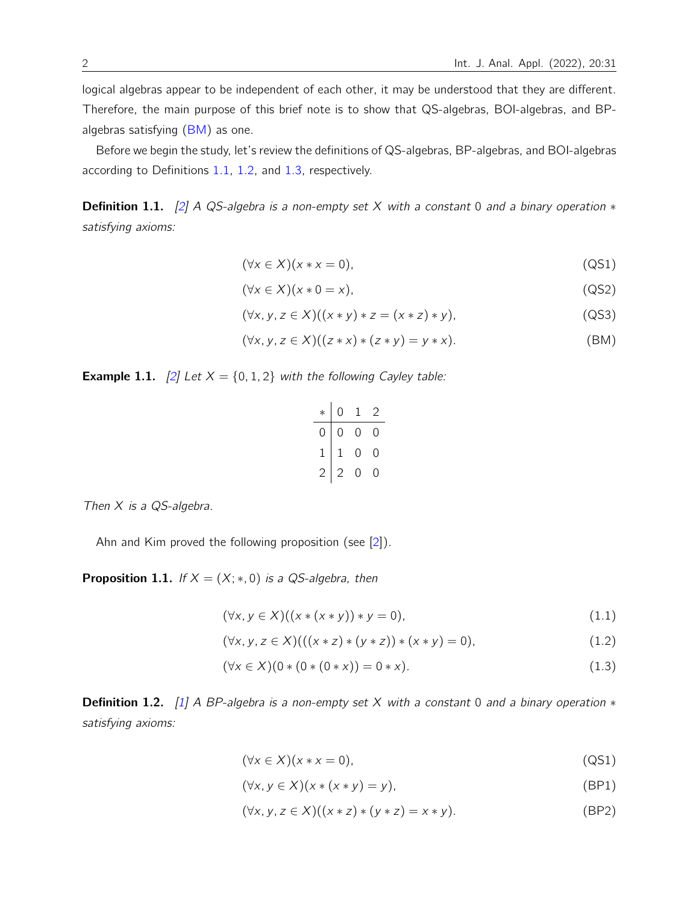logical algebras appear to be independent of each other, it may be understood that they are different. Therefore, the main purpose of this brief note is to show that QS-algebras, BOI-algebras, and BPalgebras satisfying  $(BM)$  as one.

Before we begin the study, let's review the definitions of QS-algebras, BP-algebras, and BOI-algebras according to Definitions [1.1,](#page-1-0) [1.2,](#page-1-1) and [1.3,](#page-2-0) respectively.

<span id="page-1-0"></span>**Definition 1.1.** [\[2\]](#page-4-2) A QS-algebra is a non-empty set X with a constant 0 and a binary operation  $*$ satisfying axioms:

$$
(\forall x \in X)(x * x = 0),\tag{QS1}
$$

$$
(\forall x \in X)(x * 0 = x), \tag{QS2}
$$

$$
(\forall x, y, z \in X)((x * y) * z = (x * z) * y),
$$
 (QS3)

$$
(\forall x, y, z \in X)((z * x) * (z * y) = y * x). \tag{BM}
$$

**Example 1.1.** [\[2\]](#page-4-2) Let  $X = \{0, 1, 2\}$  with the following Cayley table:

<span id="page-1-3"></span><span id="page-1-2"></span>

| $\ast$ | 0 | 1 | 2 |
|--------|---|---|---|
| 0      | 0 | 0 | 0 |
| 1      | 1 | 0 | 0 |
| 2      | 2 | 0 | O |

Then  $X$  is a QS-algebra.

Ahn and Kim proved the following proposition (see [\[2\]](#page-4-2)).

**Proposition 1.1.** If  $X = (X; *, 0)$  is a QS-algebra, then

$$
(\forall x, y \in X)((x * (x * y)) * y = 0), \tag{1.1}
$$

$$
(\forall x, y, z \in X) (((x * z) * (y * z)) * (x * y) = 0),
$$
\n(1.2)

$$
(\forall x \in X)(0 * (0 * (0 * x)) = 0 * x). \tag{1.3}
$$

<span id="page-1-1"></span>**Definition 1.2.** [\[1\]](#page-4-3) A BP-algebra is a non-empty set X with a constant 0 and a binary operation  $*$ satisfying axioms:

$$
(\forall x \in X)(x * x = 0),\tag{QS1}
$$

<span id="page-1-5"></span><span id="page-1-4"></span>
$$
(\forall x, y \in X)(x * (x * y) = y),
$$
 (BP1)

$$
(\forall x, y, z \in X)((x * z) * (y * z) = x * y).
$$
 (BP2)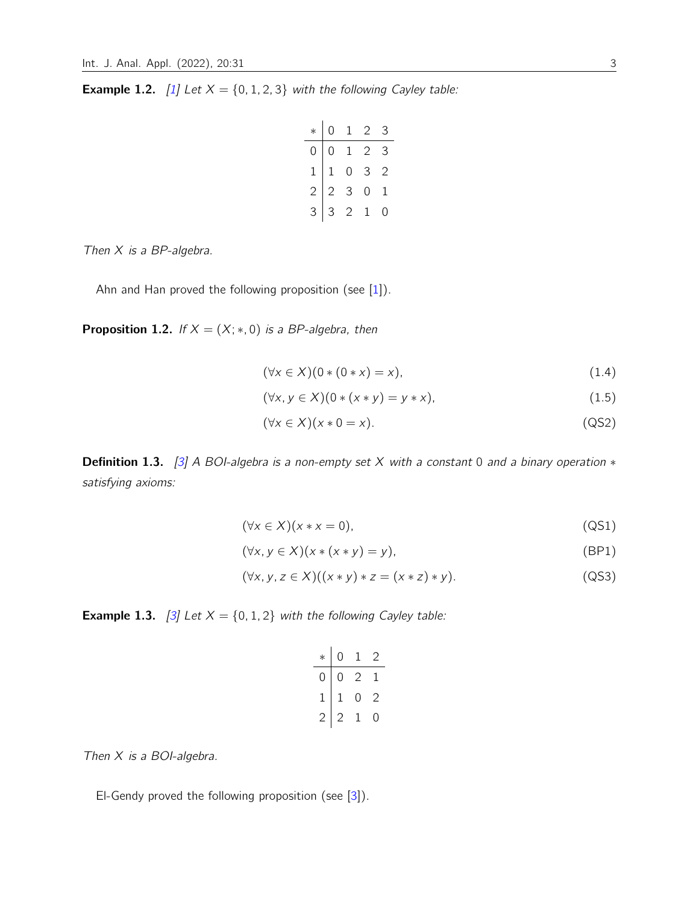**Example 1.2.** [\[1\]](#page-4-3) Let  $X = \{0, 1, 2, 3\}$  with the following Cayley table:

|                | $\begin{matrix} 0 & 1 & 2 \end{matrix}$ |                                                                                          | 3 |
|----------------|-----------------------------------------|------------------------------------------------------------------------------------------|---|
| $\overline{0}$ |                                         | $\begin{array}{ ccc } \hline 0&1&2&3\\ 1&0&3&2\\ 2&3&0&1\\ 3&2&1&0\\ \hline \end{array}$ |   |
| $\overline{1}$ |                                         |                                                                                          |   |
| $\frac{2}{3}$  |                                         |                                                                                          |   |
|                |                                         |                                                                                          |   |

Then  $X$  is a BP-algebra.

Ahn and Han proved the following proposition (see  $[1]$ ).

**Proposition 1.2.** If  $X = (X; *, 0)$  is a BP-algebra, then

$$
(\forall x \in X)(0*(0*x) = x), \tag{1.4}
$$

$$
(\forall x, y \in X)(0 * (x * y) = y * x), \tag{1.5}
$$

$$
(\forall x \in X)(x * 0 = x). \tag{QS2}
$$

<span id="page-2-0"></span>**Definition 1.3.** [\[3\]](#page-4-4) A BOI-algebra is a non-empty set X with a constant 0 and a binary operation  $*$ satisfying axioms:

$$
(\forall x \in X)(x * x = 0),\tag{QS1}
$$

$$
(\forall x, y \in X)(x * (x * y) = y),
$$
 (BP1)

$$
(\forall x, y, z \in X)((x * y) * z = (x * z) * y).
$$
 (QS3)

**Example 1.3.** [\[3\]](#page-4-4) Let  $X = \{0, 1, 2\}$  with the following Cayley table:

<span id="page-2-2"></span><span id="page-2-1"></span>

| $\ast$ | 0 | 1 | 2   |
|--------|---|---|-----|
| 0      | 0 | 2 | 1   |
| 1      | 1 | 0 | 2   |
| 2      | 2 |   | ( ) |

Then  $X$  is a BOI-algebra.

El-Gendy proved the following proposition (see [\[3\]](#page-4-4)).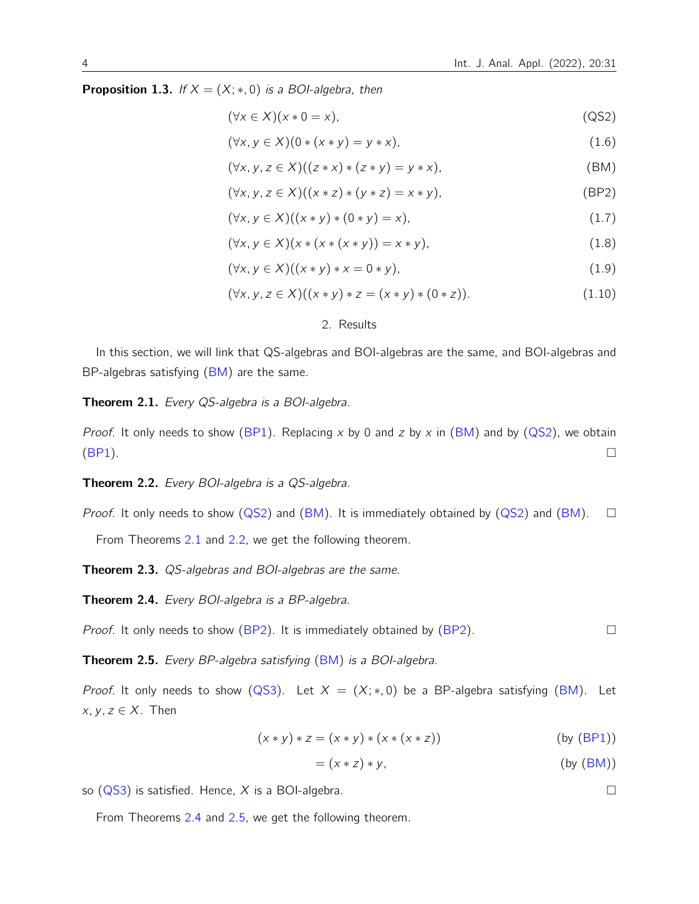**Proposition 1.3.** If  $X = (X; *, 0)$  is a BOI-algebra, then

$$
(\forall x \in X)(x * 0 = x), \tag{QS2}
$$

$$
(\forall x, y \in X)(0 * (x * y) = y * x), \tag{1.6}
$$

$$
(\forall x, y, z \in X)((z * x) * (z * y) = y * x),
$$
 (BM)

$$
(\forall x, y, z \in X)((x * z) * (y * z) = x * y),
$$
 (BP2)

$$
(\forall x, y \in X)((x * y) * (0 * y) = x), \tag{1.7}
$$

$$
(\forall x, y \in X)(x * (x * (x * y)) = x * y),
$$
\n(1.8)

$$
(\forall x, y \in X)((x * y) * x = 0 * y), \tag{1.9}
$$

$$
(\forall x, y, z \in X)((x * y) * z = (x * y) * (0 * z)).
$$
\n(1.10)

#### <span id="page-3-4"></span><span id="page-3-1"></span><span id="page-3-0"></span>2. Results

In this section, we will link that QS-algebras and BOI-algebras are the same, and BOI-algebras and BP-algebras satisfying [\(BM\)](#page-3-0) are the same.

<span id="page-3-2"></span>Theorem 2.1. Every QS-algebra is a BOI-algebra.

*Proof.* It only needs to show [\(BP1\)](#page-2-1). Replacing x by 0 and z by x in [\(BM\)](#page-1-2) and by [\(QS2\)](#page-1-3), we obtain  $(BP1)$ .

## <span id="page-3-3"></span>Theorem 2.2. Every BOI-algebra is a QS-algebra.

*Proof.* It only needs to show ( $\sqrt{Q}S2$ ) and [\(BM\)](#page-3-0). It is immediately obtained by ( $\sqrt{Q}S2$ ) and (BM).  $\Box$ 

From Theorems [2.1](#page-3-2) and [2.2,](#page-3-3) we get the following theorem.

<span id="page-3-7"></span>Theorem 2.3. QS-algebras and BOI-algebras are the same.

<span id="page-3-5"></span>Theorem 2.4. Every BOI-algebra is a BP-algebra.

*Proof.* It only needs to show 
$$
(BP2)
$$
. It is immediately obtained by  $(BP2)$ .  $\Box$ 

<span id="page-3-6"></span>Theorem 2.5. Every BP-algebra satisfying [\(BM\)](#page-3-0) is a BOI-algebra.

*Proof.* It only needs to show [\(QS3\)](#page-2-2). Let  $X = (X; *, 0)$  be a BP-algebra satisfying [\(BM\)](#page-3-0). Let  $x, y, z \in X$ . Then

$$
(x * y) * z = (x * y) * (x * (x * z))
$$
 (by (BP1))

$$
= (x * z) * y, \qquad (by (BM))
$$

so  $(QS3)$  is satisfied. Hence, X is a BOI-algebra.

From Theorems [2.4](#page-3-5) and [2.5,](#page-3-6) we get the following theorem.